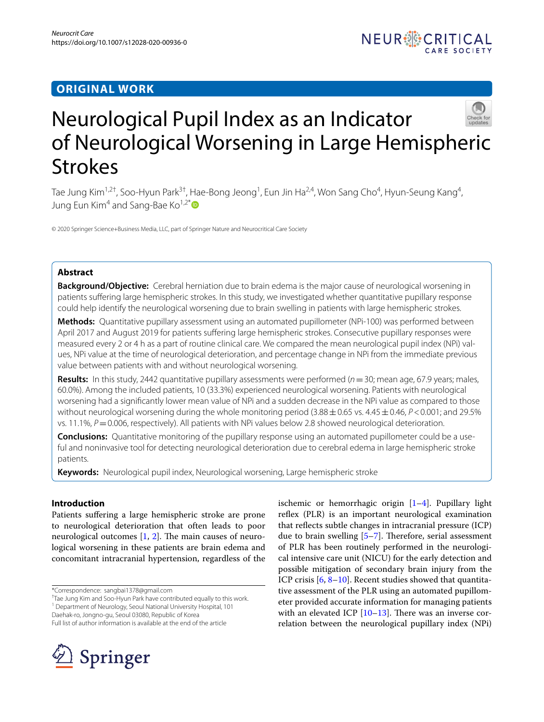## **ORIGINAL WORK**



# Neurological Pupil Index as an Indicator of Neurological Worsening in Large Hemispheric Strokes

Tae Jung Kim<sup>1,2†</sup>, Soo-Hyun Park<sup>3†</sup>, Hae-Bong Jeong<sup>1</sup>, Eun Jin Ha<sup>2,4</sup>, Won Sang Cho<sup>4</sup>, Hyun-Seung Kang<sup>4</sup>, Jung Eun Kim<sup>4</sup> and Sang-Bae Ko<sup>1,2[\\*](http://orcid.org/0000-0002-9429-9597)</sup>

© 2020 Springer Science+Business Media, LLC, part of Springer Nature and Neurocritical Care Society

## **Abstract**

**Background/Objective:** Cerebral herniation due to brain edema is the major cause of neurological worsening in patients sufering large hemispheric strokes. In this study, we investigated whether quantitative pupillary response could help identify the neurological worsening due to brain swelling in patients with large hemispheric strokes.

**Methods:** Quantitative pupillary assessment using an automated pupillometer (NPi-100) was performed between April 2017 and August 2019 for patients sufering large hemispheric strokes. Consecutive pupillary responses were measured every 2 or 4 h as a part of routine clinical care. We compared the mean neurological pupil index (NPi) values, NPi value at the time of neurological deterioration, and percentage change in NPi from the immediate previous value between patients with and without neurological worsening.

**Results:** In this study, 2442 quantitative pupillary assessments were performed (*n*=30; mean age, 67.9 years; males, 60.0%). Among the included patients, 10 (33.3%) experienced neurological worsening. Patients with neurological worsening had a signifcantly lower mean value of NPi and a sudden decrease in the NPi value as compared to those without neurological worsening during the whole monitoring period (3.88 ± 0.65 vs. 4.45 ± 0.46,  $P$  < 0.001; and 29.5% vs. 11.1%,  $P=0.006$ , respectively). All patients with NPi values below 2.8 showed neurological deterioration.

**Conclusions:** Quantitative monitoring of the pupillary response using an automated pupillometer could be a use‑ ful and noninvasive tool for detecting neurological deterioration due to cerebral edema in large hemispheric stroke patients.

**Keywords:** Neurological pupil index, Neurological worsening, Large hemispheric stroke

## **Introduction**

Patients suffering a large hemispheric stroke are prone to neurological deterioration that often leads to poor neurological outcomes  $[1, 2]$  $[1, 2]$  $[1, 2]$ . The main causes of neurological worsening in these patients are brain edema and concomitant intracranial hypertension, regardless of the

\*Correspondence: sangbai1378@gmail.com

† Tae Jung Kim and Soo-Hyun Park have contributed equally to this work.

<sup>1</sup> Department of Neurology, Seoul National University Hospital, 101

Daehak‑ro, Jongno‑gu, Seoul 03080, Republic of Korea

Full list of author information is available at the end of the article



ischemic or hemorrhagic origin  $[1-4]$  $[1-4]$ . Pupillary light reflex (PLR) is an important neurological examination that refects subtle changes in intracranial pressure (ICP) due to brain swelling  $[5-7]$  $[5-7]$ . Therefore, serial assessment of PLR has been routinely performed in the neurological intensive care unit (NICU) for the early detection and possible mitigation of secondary brain injury from the ICP crisis  $[6, 8-10]$  $[6, 8-10]$  $[6, 8-10]$  $[6, 8-10]$ . Recent studies showed that quantitative assessment of the PLR using an automated pupillometer provided accurate information for managing patients with an elevated ICP  $[10-13]$  $[10-13]$  $[10-13]$ . There was an inverse correlation between the neurological pupillary index (NPi)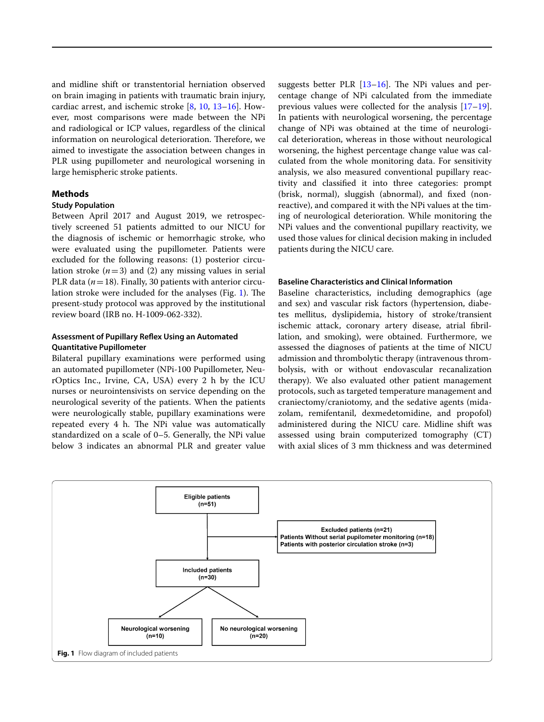and midline shift or transtentorial herniation observed on brain imaging in patients with traumatic brain injury, cardiac arrest, and ischemic stroke [[8,](#page-6-6) [10,](#page-6-7) [13–](#page-6-8)[16\]](#page-6-9). However, most comparisons were made between the NPi and radiological or ICP values, regardless of the clinical information on neurological deterioration. Therefore, we aimed to investigate the association between changes in PLR using pupillometer and neurological worsening in large hemispheric stroke patients.

## **Methods**

## **Study Population**

Between April 2017 and August 2019, we retrospectively screened 51 patients admitted to our NICU for the diagnosis of ischemic or hemorrhagic stroke, who were evaluated using the pupillometer. Patients were excluded for the following reasons: (1) posterior circulation stroke  $(n=3)$  and  $(2)$  any missing values in serial PLR data ( $n=18$ ). Finally, 30 patients with anterior circu-lation stroke were included for the analyses (Fig. [1\)](#page-1-0). The present-study protocol was approved by the institutional review board (IRB no. H-1009-062-332).

## **Assessment of Pupillary Refex Using an Automated Quantitative Pupillometer**

Bilateral pupillary examinations were performed using an automated pupillometer (NPi-100 Pupillometer, NeurOptics Inc., Irvine, CA, USA) every 2 h by the ICU nurses or neurointensivists on service depending on the neurological severity of the patients. When the patients were neurologically stable, pupillary examinations were repeated every 4 h. The NPi value was automatically standardized on a scale of 0–5. Generally, the NPi value below 3 indicates an abnormal PLR and greater value

suggests better PLR  $[13-16]$  $[13-16]$  $[13-16]$ . The NPi values and percentage change of NPi calculated from the immediate previous values were collected for the analysis [[17](#page-6-10)[–19](#page-6-11)]. In patients with neurological worsening, the percentage change of NPi was obtained at the time of neurological deterioration, whereas in those without neurological worsening, the highest percentage change value was calculated from the whole monitoring data. For sensitivity analysis, we also measured conventional pupillary reactivity and classifed it into three categories: prompt (brisk, normal), sluggish (abnormal), and fxed (nonreactive), and compared it with the NPi values at the timing of neurological deterioration. While monitoring the NPi values and the conventional pupillary reactivity, we used those values for clinical decision making in included patients during the NICU care.

## **Baseline Characteristics and Clinical Information**

Baseline characteristics, including demographics (age and sex) and vascular risk factors (hypertension, diabetes mellitus, dyslipidemia, history of stroke/transient ischemic attack, coronary artery disease, atrial fbrillation, and smoking), were obtained. Furthermore, we assessed the diagnoses of patients at the time of NICU admission and thrombolytic therapy (intravenous thrombolysis, with or without endovascular recanalization therapy). We also evaluated other patient management protocols, such as targeted temperature management and craniectomy/craniotomy, and the sedative agents (midazolam, remifentanil, dexmedetomidine, and propofol) administered during the NICU care. Midline shift was assessed using brain computerized tomography (CT) with axial slices of 3 mm thickness and was determined

<span id="page-1-0"></span>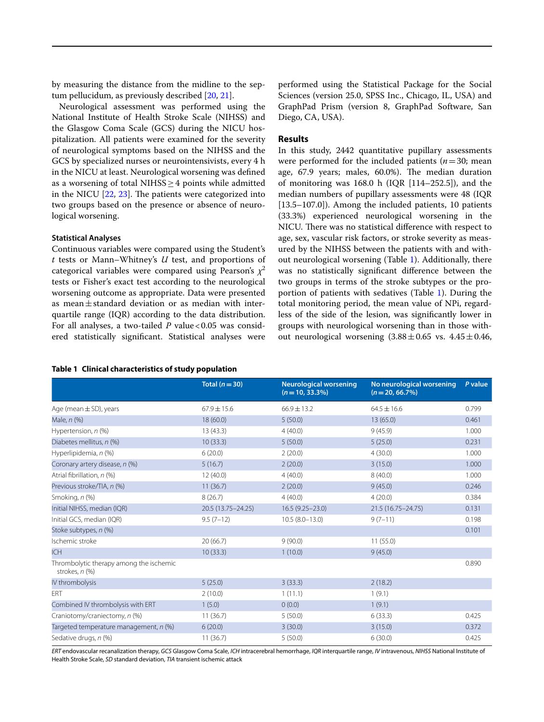by measuring the distance from the midline to the septum pellucidum, as previously described [[20,](#page-6-12) [21](#page-6-13)].

Neurological assessment was performed using the National Institute of Health Stroke Scale (NIHSS) and the Glasgow Coma Scale (GCS) during the NICU hospitalization. All patients were examined for the severity of neurological symptoms based on the NIHSS and the GCS by specialized nurses or neurointensivists, every 4 h in the NICU at least. Neurological worsening was defned as a worsening of total NIHSS $\geq$ 4 points while admitted in the NICU  $[22, 23]$  $[22, 23]$  $[22, 23]$  $[22, 23]$ . The patients were categorized into two groups based on the presence or absence of neurological worsening.

## **Statistical Analyses**

Continuous variables were compared using the Student's *t* tests or Mann–Whitney's *U* test, and proportions of categorical variables were compared using Pearson's  $\chi^2$ tests or Fisher's exact test according to the neurological worsening outcome as appropriate. Data were presented as mean $\pm$ standard deviation or as median with interquartile range (IQR) according to the data distribution. For all analyses, a two-tailed *P* value <0.05 was considered statistically signifcant. Statistical analyses were

#### <span id="page-2-0"></span>**Table 1 Clinical characteristics of study population**

performed using the Statistical Package for the Social Sciences (version 25.0, SPSS Inc., Chicago, IL, USA) and GraphPad Prism (version 8, GraphPad Software, San Diego, CA, USA).

## **Results**

In this study, 2442 quantitative pupillary assessments were performed for the included patients  $(n=30;$  mean age, 67.9 years; males, 60.0%). The median duration of monitoring was 168.0 h (IQR [114–252.5]), and the median numbers of pupillary assessments were 48 (IQR [13.5–107.0]). Among the included patients, 10 patients (33.3%) experienced neurological worsening in the NICU. There was no statistical difference with respect to age, sex, vascular risk factors, or stroke severity as measured by the NIHSS between the patients with and without neurological worsening (Table [1\)](#page-2-0). Additionally, there was no statistically signifcant diference between the two groups in terms of the stroke subtypes or the proportion of patients with sedatives (Table [1\)](#page-2-0). During the total monitoring period, the mean value of NPi, regardless of the side of the lesion, was signifcantly lower in groups with neurological worsening than in those without neurological worsening  $(3.88 \pm 0.65 \text{ vs. } 4.45 \pm 0.46,$ 

|                                                           | Total $(n=30)$       | <b>Neurological worsening</b><br>$(n = 10, 33.3\%)$ | No neurological worsening<br>$(n=20, 66.7\%)$ | P value |
|-----------------------------------------------------------|----------------------|-----------------------------------------------------|-----------------------------------------------|---------|
| Age (mean $\pm$ SD), years                                | $67.9 \pm 15.6$      | $66.9 \pm 13.2$                                     | $64.5 \pm 16.6$                               | 0.799   |
| Male, n (%)                                               | 18(60.0)             | 5(50.0)                                             | 13(65.0)                                      | 0.461   |
| Hypertension, n (%)                                       | 13(43.3)             | 4(40.0)                                             | 9(45.9)                                       | 1.000   |
| Diabetes mellitus, n (%)                                  | 10(33.3)             | 5(50.0)                                             | 5(25.0)                                       | 0.231   |
| Hyperlipidemia, n (%)                                     | 6(20.0)              | 2(20.0)                                             | 4(30.0)                                       | 1.000   |
| Coronary artery disease, n (%)                            | 5(16.7)              | 2(20.0)                                             | 3(15.0)                                       | 1.000   |
| Atrial fibrillation, n (%)                                | 12(40.0)             | 4(40.0)                                             | 8(40.0)                                       | 1.000   |
| Previous stroke/TIA, n (%)                                | 11(36.7)             | 2(20.0)                                             | 9(45.0)                                       | 0.246   |
| Smoking, n (%)                                            | 8(26.7)              | 4(40.0)                                             | 4(20.0)                                       | 0.384   |
| Initial NIHSS, median (IQR)                               | 20.5 (13.75 - 24.25) | $16.5(9.25 - 23.0)$                                 | 21.5 (16.75 - 24.75)                          | 0.131   |
| Initial GCS, median (IQR)                                 | $9.5(7-12)$          | $10.5(8.0-13.0)$                                    | $9(7-11)$                                     | 0.198   |
| Stoke subtypes, n (%)                                     |                      |                                                     |                                               | 0.101   |
| Ischemic stroke                                           | 20(66.7)             | 9(90.0)                                             | 11(55.0)                                      |         |
| <b>ICH</b>                                                | 10(33.3)             | 1(10.0)                                             | 9(45.0)                                       |         |
| Thrombolytic therapy among the ischemic<br>strokes, n (%) |                      |                                                     |                                               | 0.890   |
| IV thrombolysis                                           | 5(25.0)              | 3(33.3)                                             | 2(18.2)                                       |         |
| ERT                                                       | 2(10.0)              | 1(11.1)                                             | 1(9.1)                                        |         |
| Combined IV thrombolysis with ERT                         | 1(5.0)               | 0(0.0)                                              | 1(9.1)                                        |         |
| Craniotomy/craniectomy, n (%)                             | 11(36.7)             | 5(50.0)                                             | 6(33.3)                                       | 0.425   |
| Targeted temperature management, n (%)                    | 6(20.0)              | 3(30.0)                                             | 3(15.0)                                       | 0.372   |
| Sedative drugs, n (%)                                     | 11(36.7)             | 5(50.0)                                             | 6(30.0)                                       | 0.425   |

*ERT* endovascular recanalization therapy, *GCS* Glasgow Coma Scale, *ICH* intracerebral hemorrhage, *IQR* interquartile range, *IV* intravenous, *NIHSS* National Institute of Health Stroke Scale, *SD* standard deviation, *TIA* transient ischemic attack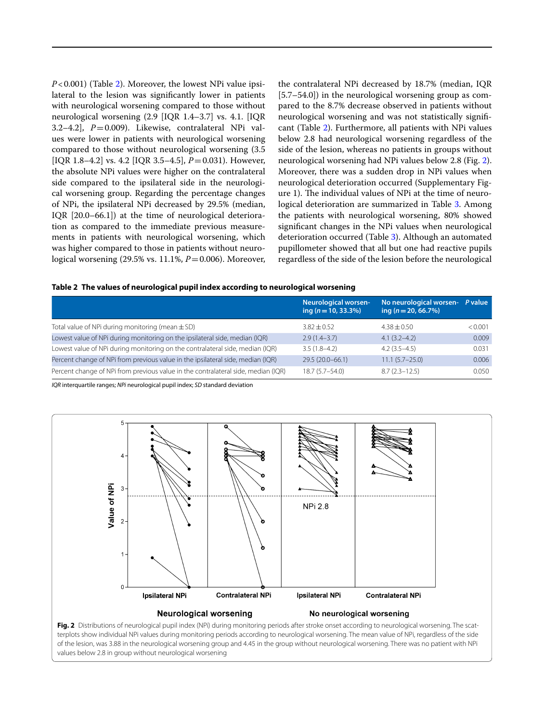*P*<0.001) (Table [2](#page-3-0)). Moreover, the lowest NPi value ipsilateral to the lesion was signifcantly lower in patients with neurological worsening compared to those without neurological worsening (2.9 [IQR 1.4–3.7] vs. 4.1. [IQR 3.2–4.2], *P*=0.009). Likewise, contralateral NPi values were lower in patients with neurological worsening compared to those without neurological worsening (3.5 [IQR 1.8–4.2] vs. 4.2 [IQR 3.5–4.5],  $P = 0.031$ ). However, the absolute NPi values were higher on the contralateral side compared to the ipsilateral side in the neurological worsening group. Regarding the percentage changes of NPi, the ipsilateral NPi decreased by 29.5% (median, IQR [20.0–66.1]) at the time of neurological deterioration as compared to the immediate previous measurements in patients with neurological worsening, which was higher compared to those in patients without neurological worsening (29.5% vs. 11.1%, *P*=0.006). Moreover, the contralateral NPi decreased by 18.7% (median, IQR [5.7–54.0]) in the neurological worsening group as compared to the 8.7% decrease observed in patients without neurological worsening and was not statistically signifcant (Table [2\)](#page-3-0). Furthermore, all patients with NPi values below 2.8 had neurological worsening regardless of the side of the lesion, whereas no patients in groups without neurological worsening had NPi values below 2.8 (Fig. [2](#page-3-1)). Moreover, there was a sudden drop in NPi values when neurological deterioration occurred (Supplementary Figure 1). The individual values of NPi at the time of neurological deterioration are summarized in Table [3.](#page-4-0) Among the patients with neurological worsening, 80% showed signifcant changes in the NPi values when neurological deterioration occurred (Table [3](#page-4-0)). Although an automated pupillometer showed that all but one had reactive pupils regardless of the side of the lesion before the neurological

<span id="page-3-0"></span>

|  |  | Table 2 The values of neurological pupil index according to neurological worsening |  |
|--|--|------------------------------------------------------------------------------------|--|
|  |  |                                                                                    |  |

|                                                                                   | <b>Neurological worsen-</b><br>ing $(n = 10, 33.3\%)$ | No neurological worsen- P value<br>ing $(n = 20, 66.7\%)$ |         |
|-----------------------------------------------------------------------------------|-------------------------------------------------------|-----------------------------------------------------------|---------|
| Total value of NPi during monitoring (mean $\pm$ SD)                              | $3.82 + 0.52$                                         | $4.38 + 0.50$                                             | < 0.001 |
| Lowest value of NPi during monitoring on the ipsilateral side, median (IQR)       | $2.9(1.4-3.7)$                                        | $4.1(3.2 - 4.2)$                                          | 0.009   |
| Lowest value of NPi during monitoring on the contralateral side, median (IQR)     | $3.5(1.8-4.2)$                                        | $4.2(3.5-4.5)$                                            | 0.031   |
| Percent change of NPi from previous value in the ipsilateral side, median (IQR)   | 29.5 (20.0-66.1)                                      | $11.1 (5.7 - 25.0)$                                       | 0.006   |
| Percent change of NPi from previous value in the contralateral side, median (IQR) | $18.7(5.7 - 54.0)$                                    | $8.7(2.3 - 12.5)$                                         | 0.050   |

*IQR* interquartile ranges; *NPi* neurological pupil index; *SD* standard deviation



<span id="page-3-1"></span>Fig. 2 Distributions of neurological pupil index (NPi) during monitoring periods after stroke onset according to neurological worsening. The scatterplots show individual NPi values during monitoring periods according to neurological worsening. The mean value of NPi, regardless of the side of the lesion, was 3.88 in the neurological worsening group and 4.45 in the group without neurological worsening. There was no patient with NPi values below 2.8 in group without neurological worsening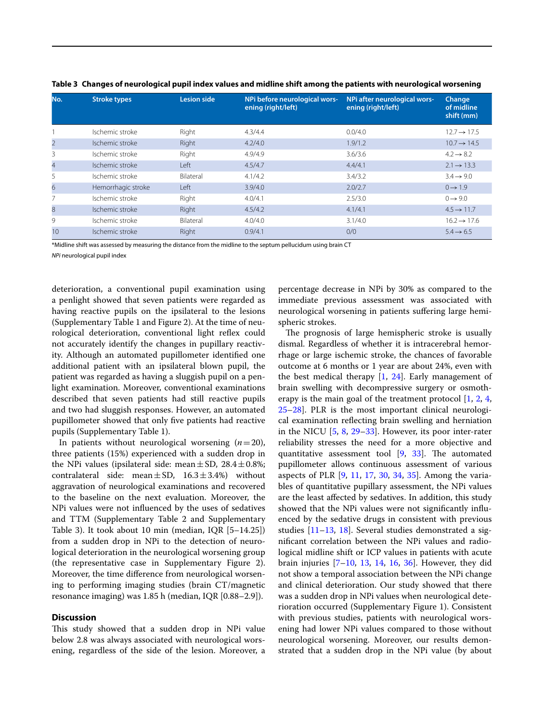| No.            | <b>Stroke types</b> | <b>Lesion side</b> | NPi before neurological wors-<br>ening (right/left) | NPi after neurological wors-<br>ening (right/left) | <b>Change</b><br>of midline<br>shift (mm) |
|----------------|---------------------|--------------------|-----------------------------------------------------|----------------------------------------------------|-------------------------------------------|
|                | Ischemic stroke     | Right              | 4.3/4.4                                             | 0.0/4.0                                            | $12.7 \rightarrow 17.5$                   |
| $\overline{2}$ | Ischemic stroke     | Right              | 4.2/4.0                                             | 1.9/1.2                                            | $10.7 \rightarrow 14.5$                   |
| 3              | Ischemic stroke     | Right              | 4.9/4.9                                             | 3.6/3.6                                            | $4.2 \rightarrow 8.2$                     |
| $\overline{4}$ | Ischemic stroke     | Left               | 4.5/4.7                                             | 4.4/4.1                                            | $2.1 \rightarrow 13.3$                    |
| 5              | Ischemic stroke     | Bilateral          | 4.1/4.2                                             | 3.4/3.2                                            | $3.4 \rightarrow 9.0$                     |
| 6              | Hemorrhagic stroke  | Left               | 3.9/4.0                                             | 2.0/2.7                                            | $0 \rightarrow 1.9$                       |
|                | Ischemic stroke     | Right              | 4.0/4.1                                             | 2.5/3.0                                            | $0 \rightarrow 9.0$                       |
| 8              | Ischemic stroke     | Right              | 4.5/4.2                                             | 4.1/4.1                                            | $4.5 \rightarrow 11.7$                    |
| 9              | Ischemic stroke     | Bilateral          | 4.0/4.0                                             | 3.1/4.0                                            | $16.2 \rightarrow 17.6$                   |
| 10             | Ischemic stroke     | Right              | 0.9/4.1                                             | 0/0                                                | $5.4 \rightarrow 6.5$                     |

<span id="page-4-0"></span>**Table 3 Changes of neurological pupil index values and midline shift among the patients with neurological worsening**

\*Midline shift was assessed by measuring the distance from the midline to the septum pellucidum using brain CT *NPi* neurological pupil index

deterioration, a conventional pupil examination using a penlight showed that seven patients were regarded as having reactive pupils on the ipsilateral to the lesions (Supplementary Table 1 and Figure 2). At the time of neurological deterioration, conventional light refex could not accurately identify the changes in pupillary reactivity. Although an automated pupillometer identifed one additional patient with an ipsilateral blown pupil, the patient was regarded as having a sluggish pupil on a penlight examination. Moreover, conventional examinations described that seven patients had still reactive pupils and two had sluggish responses. However, an automated pupillometer showed that only fve patients had reactive pupils (Supplementary Table 1).

In patients without neurological worsening  $(n=20)$ , three patients (15%) experienced with a sudden drop in the NPi values (ipsilateral side: mean  $\pm$  SD, 28.4  $\pm$  0.8%; contralateral side: mean $\pm$ SD, 16.3 $\pm$ 3.4%) without aggravation of neurological examinations and recovered to the baseline on the next evaluation. Moreover, the NPi values were not infuenced by the uses of sedatives and TTM (Supplementary Table 2 and Supplementary Table 3). It took about 10 min (median, IQR [5–14.25]) from a sudden drop in NPi to the detection of neurological deterioration in the neurological worsening group (the representative case in Supplementary Figure 2). Moreover, the time diference from neurological worsening to performing imaging studies (brain CT/magnetic resonance imaging) was 1.85 h (median, IQR [0.88–2.9]).

## **Discussion**

This study showed that a sudden drop in NPi value below 2.8 was always associated with neurological worsening, regardless of the side of the lesion. Moreover, a percentage decrease in NPi by 30% as compared to the immediate previous assessment was associated with neurological worsening in patients sufering large hemispheric strokes.

The prognosis of large hemispheric stroke is usually dismal. Regardless of whether it is intracerebral hemorrhage or large ischemic stroke, the chances of favorable outcome at 6 months or 1 year are about 24%, even with the best medical therapy  $[1, 24]$  $[1, 24]$  $[1, 24]$  $[1, 24]$ . Early management of brain swelling with decompressive surgery or osmotherapy is the main goal of the treatment protocol [\[1,](#page-6-0) [2](#page-6-1), [4](#page-6-2), [25](#page-6-17)[–28](#page-6-18)]. PLR is the most important clinical neurological examination refecting brain swelling and herniation in the NICU [[5,](#page-6-3) [8](#page-6-6), [29](#page-6-19)[–33](#page-6-20)]. However, its poor inter-rater reliability stresses the need for a more objective and quantitative assessment tool  $[9, 33]$  $[9, 33]$  $[9, 33]$  $[9, 33]$  $[9, 33]$ . The automated pupillometer allows continuous assessment of various aspects of PLR [\[9](#page-6-21), [11,](#page-6-22) [17](#page-6-10), [30,](#page-6-23) [34](#page-6-24), [35\]](#page-6-25). Among the variables of quantitative pupillary assessment, the NPi values are the least afected by sedatives. In addition, this study showed that the NPi values were not signifcantly infuenced by the sedative drugs in consistent with previous studies [\[11–](#page-6-22)[13,](#page-6-8) [18](#page-6-26)]. Several studies demonstrated a signifcant correlation between the NPi values and radiological midline shift or ICP values in patients with acute brain injuries [[7–](#page-6-4)[10](#page-6-7), [13](#page-6-8), [14](#page-6-27), [16](#page-6-9), [36](#page-6-28)]. However, they did not show a temporal association between the NPi change and clinical deterioration. Our study showed that there was a sudden drop in NPi values when neurological deterioration occurred (Supplementary Figure 1). Consistent with previous studies, patients with neurological worsening had lower NPi values compared to those without neurological worsening. Moreover, our results demonstrated that a sudden drop in the NPi value (by about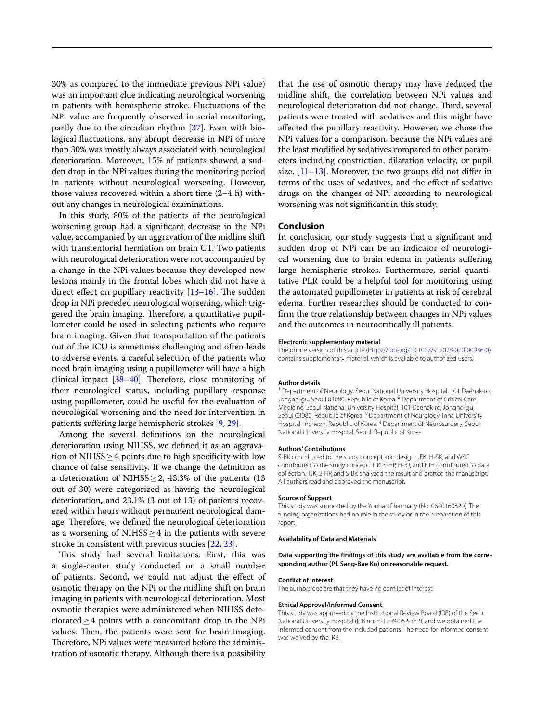30% as compared to the immediate previous NPi value) was an important clue indicating neurological worsening in patients with hemispheric stroke. Fluctuations of the NPi value are frequently observed in serial monitoring, partly due to the circadian rhythm [[37\]](#page-6-29). Even with biological fuctuations, any abrupt decrease in NPi of more than 30% was mostly always associated with neurological deterioration. Moreover, 15% of patients showed a sudden drop in the NPi values during the monitoring period in patients without neurological worsening. However, those values recovered within a short time (2–4 h) without any changes in neurological examinations.

In this study, 80% of the patients of the neurological worsening group had a signifcant decrease in the NPi value, accompanied by an aggravation of the midline shift with transtentorial herniation on brain CT. Two patients with neurological deterioration were not accompanied by a change in the NPi values because they developed new lesions mainly in the frontal lobes which did not have a direct effect on pupillary reactivity  $[13–16]$  $[13–16]$  $[13–16]$ . The sudden drop in NPi preceded neurological worsening, which triggered the brain imaging. Therefore, a quantitative pupillometer could be used in selecting patients who require brain imaging. Given that transportation of the patients out of the ICU is sometimes challenging and often leads to adverse events, a careful selection of the patients who need brain imaging using a pupillometer will have a high clinical impact  $[38-40]$  $[38-40]$  $[38-40]$ . Therefore, close monitoring of their neurological status, including pupillary response using pupillometer, could be useful for the evaluation of neurological worsening and the need for intervention in patients sufering large hemispheric strokes [\[9](#page-6-21), [29\]](#page-6-19).

Among the several defnitions on the neurological deterioration using NIHSS, we defned it as an aggravation of NIHSS $\geq$ 4 points due to high specificity with low chance of false sensitivity. If we change the defnition as a deterioration of NIHSS  $\geq$  2, 43.3% of the patients (13 out of 30) were categorized as having the neurological deterioration, and 23.1% (3 out of 13) of patients recovered within hours without permanent neurological damage. Therefore, we defined the neurological deterioration as a worsening of NIHSS $\geq$ 4 in the patients with severe stroke in consistent with previous studies [\[22](#page-6-14), [23\]](#page-6-15).

This study had several limitations. First, this was a single-center study conducted on a small number of patients. Second, we could not adjust the efect of osmotic therapy on the NPi or the midline shift on brain imaging in patients with neurological deterioration. Most osmotic therapies were administered when NIHSS deteriorated≥4 points with a concomitant drop in the NPi values. Then, the patients were sent for brain imaging. Therefore, NPi values were measured before the administration of osmotic therapy. Although there is a possibility

that the use of osmotic therapy may have reduced the midline shift, the correlation between NPi values and neurological deterioration did not change. Third, several patients were treated with sedatives and this might have afected the pupillary reactivity. However, we chose the NPi values for a comparison, because the NPi values are the least modifed by sedatives compared to other parameters including constriction, dilatation velocity, or pupil size.  $[11-13]$  $[11-13]$ . Moreover, the two groups did not differ in terms of the uses of sedatives, and the efect of sedative drugs on the changes of NPi according to neurological worsening was not signifcant in this study.

## **Conclusion**

In conclusion, our study suggests that a signifcant and sudden drop of NPi can be an indicator of neurological worsening due to brain edema in patients sufering large hemispheric strokes. Furthermore, serial quantitative PLR could be a helpful tool for monitoring using the automated pupillometer in patients at risk of cerebral edema. Further researches should be conducted to confrm the true relationship between changes in NPi values and the outcomes in neurocritically ill patients.

#### **Electronic supplementary material**

The online version of this article ([https://doi.org/10.1007/s12028-020-00936-0\)](https://doi.org/10.1007/s12028-020-00936-0) contains supplementary material, which is available to authorized users.

#### **Author details**

<sup>1</sup> Department of Neurology, Seoul National University Hospital, 101 Daehak-ro, Jongno-gu, Seoul 03080, Republic of Korea. <sup>2</sup> Department of Critical Care Medicine, Seoul National University Hospital, 101 Daehak‑ro, Jongno‑gu, Seoul 03080, Republic of Korea. 3 Department of Neurology, Inha University Hospital, Incheon, Republic of Korea. 4 Department of Neurosurgery, Seoul National University Hospital, Seoul, Republic of Korea.

#### **Authors' Contributions**

S-BK contributed to the study concept and design. JEK, H-SK, and WSC contributed to the study concept. TJK, S-HP, H-BJ, and EJH contributed to data collection. TJK, S-HP, and S-BK analyzed the result and drafted the manuscript. All authors read and approved the manuscript.

#### **Source of Support**

This study was supported by the Youhan Pharmacy (No. 0620160820). The funding organizations had no role in the study or in the preparation of this report.

#### **Availability of Data and Materials**

#### **Data supporting the findings of this study are available from the corresponding author (Pf. Sang-Bae Ko) on reasonable request.**

#### **Conflict of interest**

The authors declare that they have no confict of interest.

#### **Ethical Approval/Informed Consent**

This study was approved by the Institutional Review Board (IRB) of the Seoul National University Hospital (IRB no. H-1009-062-332), and we obtained the informed consent from the included patients. The need for informed consent was waived by the IRB.